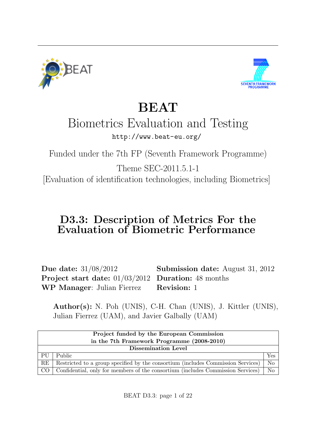



# BEAT

## Biometrics Evaluation and Testing <http://www.beat-eu.org/>

Funded under the 7th FP (Seventh Framework Programme) Theme SEC-2011.5.1-1 [Evaluation of identification technologies, including Biometrics]

## D3.3: Description of Metrics For the Evaluation of Biometric Performance

Project start date: 01/03/2012 Duration: 48 months WP Manager: Julian Fierrez Revision: 1

Due date:  $31/08/2012$  Submission date: August 31, 2012

Author(s): N. Poh (UNIS), C-H. Chan (UNIS), J. Kittler (UNIS), Julian Fierrez (UAM), and Javier Galbally (UAM)

| Project funded by the European Commission<br>in the 7th Framework Programme (2008-2010) |                                                                                  |                      |  |  |  |
|-----------------------------------------------------------------------------------------|----------------------------------------------------------------------------------|----------------------|--|--|--|
| Dissemination Level                                                                     |                                                                                  |                      |  |  |  |
| PU                                                                                      | Public                                                                           | $\operatorname{Yes}$ |  |  |  |
| RE                                                                                      | Restricted to a group specified by the consortium (includes Commission Services) | No                   |  |  |  |
| CO                                                                                      | Confidential, only for members of the consortium (includes Commission Services)  | $\overline{N_{O}}$   |  |  |  |

BEAT D3.3: page 1 of [22](#page-21-0)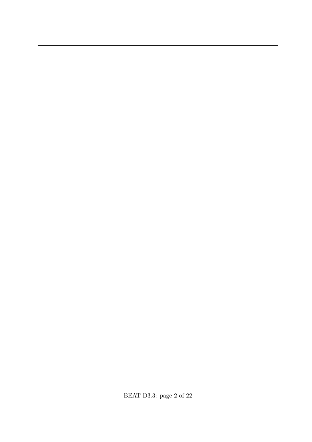BEAT D3.3: page 2 of [22](#page-21-0)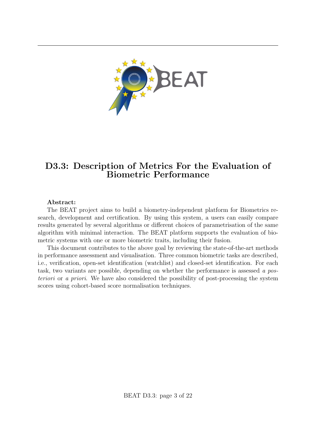

## D3.3: Description of Metrics For the Evaluation of Biometric Performance

#### Abstract:

The BEAT project aims to build a biometry-independent platform for Biometrics research, development and certification. By using this system, a users can easily compare results generated by several algorithms or different choices of parametrisation of the same algorithm with minimal interaction. The BEAT platform supports the evaluation of biometric systems with one or more biometric traits, including their fusion.

This document contributes to the above goal by reviewing the state-of-the-art methods in performance assessment and visualisation. Three common biometric tasks are described, i.e., verification, open-set identification (watchlist) and closed-set identification. For each task, two variants are possible, depending on whether the performance is assessed a posteriori or a priori. We have also considered the possibility of post-processing the system scores using cohort-based score normalisation techniques.

BEAT D3.3: page 3 of [22](#page-21-0)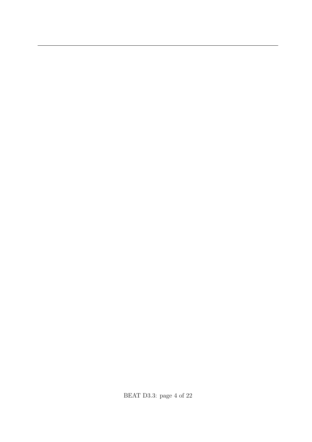BEAT D3.3: page 4 of [22](#page-21-0)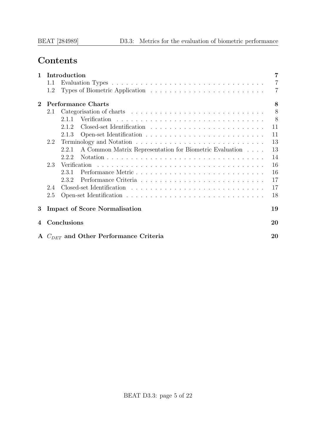## Contents

| $\mathbf{1}$ |             | Introduction                                                                             | 7              |  |
|--------------|-------------|------------------------------------------------------------------------------------------|----------------|--|
|              | 1.1         |                                                                                          | $\overline{7}$ |  |
|              | 1.2         | Types of Biometric Application $\ldots \ldots \ldots \ldots \ldots \ldots \ldots \ldots$ | $\overline{7}$ |  |
| $\bf{2}$     |             | <b>Performance Charts</b>                                                                | 8              |  |
|              | 2.1         |                                                                                          | 8              |  |
|              |             | 2.1.1                                                                                    | 8              |  |
|              |             | 2.1.2                                                                                    | 11             |  |
|              |             | 2.1.3                                                                                    | 11             |  |
|              | 2.2         |                                                                                          | 13             |  |
|              |             | A Common Matrix Representation for Biometric Evaluation<br>2.2.1                         | 13             |  |
|              |             | 2.2.2                                                                                    | 14             |  |
|              | 2.3         |                                                                                          | 16             |  |
|              |             | 2.3.1                                                                                    | 16             |  |
|              |             | 2.3.2                                                                                    | 17             |  |
|              | 2.4         |                                                                                          | 17             |  |
|              | 2.5         |                                                                                          | 18             |  |
| 3            |             | <b>Impact of Score Normalisation</b>                                                     | 19             |  |
| 4            | Conclusions |                                                                                          |                |  |
|              |             | A $C_{DET}$ and Other Performance Criteria                                               | 20             |  |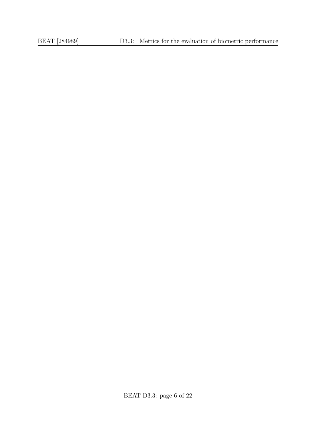BEAT D3.3: page 6 of [22](#page-21-0)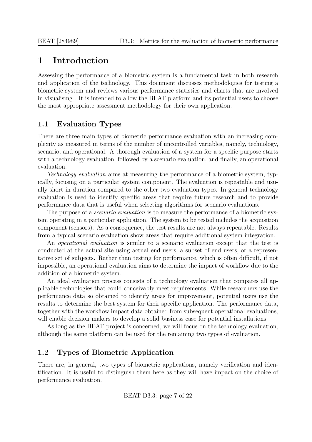## <span id="page-6-0"></span>1 Introduction

Assessing the performance of a biometric system is a fundamental task in both research and application of the technology. This document discusses methodologies for testing a biometric system and reviews various performance statistics and charts that are involved in visualising . It is intended to allow the BEAT platform and its potential users to choose the most appropriate assessment methodology for their own application.

### <span id="page-6-1"></span>1.1 Evaluation Types

There are three main types of biometric performance evaluation with an increasing complexity as measured in terms of the number of uncontrolled variables, namely, technology, scenario, and operational. A thorough evaluation of a system for a specific purpose starts with a technology evaluation, followed by a scenario evaluation, and finally, an operational evaluation.

Technology evaluation aims at measuring the performance of a biometric system, typically, focusing on a particular system component. The evaluation is repeatable and usually short in duration compared to the other two evaluation types. In general technology evaluation is used to identify specific areas that require future research and to provide performance data that is useful when selecting algorithms for scenario evaluations.

The purpose of a *scenario evaluation* is to measure the performance of a biometric system operating in a particular application. The system to be tested includes the acquisition component (sensors). As a consequence, the test results are not always repeatable. Results from a typical scenario evaluation show areas that require additional system integration.

An operational evaluation is similar to a scenario evaluation except that the test is conducted at the actual site using actual end users, a subset of end users, or a representative set of subjects. Rather than testing for performance, which is often difficult, if not impossible, an operational evaluation aims to determine the impact of workflow due to the addition of a biometric system.

An ideal evaluation process consists of a technology evaluation that compares all applicable technologies that could conceivably meet requirements. While researchers use the performance data so obtained to identify areas for improvement, potential users use the results to determine the best system for their specific application. The performance data, together with the workflow impact data obtained from subsequent operational evaluations, will enable decision makers to develop a solid business case for potential installations.

As long as the BEAT project is concerned, we will focus on the technology evaluation, although the same platform can be used for the remaining two types of evaluation.

### <span id="page-6-2"></span>1.2 Types of Biometric Application

There are, in general, two types of biometric applications, namely verification and identification. It is useful to distinguish them here as they will have impact on the choice of performance evaluation.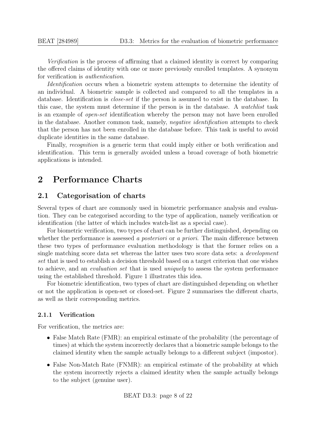Verification is the process of affirming that a claimed identity is correct by comparing the offered claims of identity with one or more previously enrolled templates. A synonym for verification is authentication.

Identification occurs when a biometric system attempts to determine the identity of an individual. A biometric sample is collected and compared to all the templates in a database. Identification is *close-set* if the person is assumed to exist in the database. In this case, the system must determine if the person is in the database. A watchlist task is an example of open-set identification whereby the person may not have been enrolled in the database. Another common task, namely, negative identification attempts to check that the person has not been enrolled in the database before. This task is useful to avoid duplicate identities in the same database.

Finally, recognition is a generic term that could imply either or both verification and identification. This term is generally avoided unless a broad coverage of both biometric applications is intended.

## <span id="page-7-0"></span>2 Performance Charts

#### <span id="page-7-1"></span>2.1 Categorisation of charts

Several types of chart are commonly used in biometric performance analysis and evaluation. They can be categorised according to the type of application, namely verification or identification (the latter of which includes watch-list as a special case).

For biometric verification, two types of chart can be further distinguished, depending on whether the performance is assessed a *posteriori* or a *priori*. The main difference between these two types of performance evaluation methodology is that the former relies on a single matching score data set whereas the latter uses two score data sets: a development set that is used to establish a decision threshold based on a target criterion that one wishes to achieve, and an evaluation set that is used uniquely to assess the system performance using the established threshold. Figure [1](#page-8-0) illustrates this idea.

For biometric identification, two types of chart are distinguished depending on whether or not the application is open-set or closed-set. Figure [2](#page-9-0) summarises the different charts, as well as their corresponding metrics.

#### <span id="page-7-2"></span>2.1.1 Verification

For verification, the metrics are:

- False Match Rate (FMR): an empirical estimate of the probability (the percentage of times) at which the system incorrectly declares that a biometric sample belongs to the claimed identity when the sample actually belongs to a different subject (impostor).
- False Non-Match Rate (FNMR): an empirical estimate of the probability at which the system incorrectly rejects a claimed identity when the sample actually belongs to the subject (genuine user).

BEAT D3.3: page 8 of [22](#page-21-0)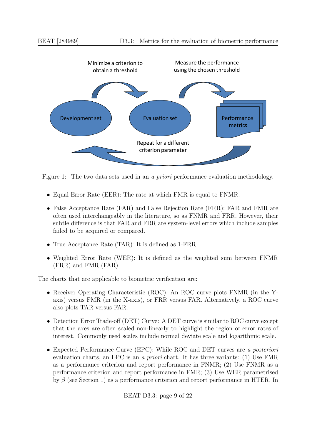

<span id="page-8-0"></span>Figure 1: The two data sets used in an a priori performance evaluation methodology.

- Equal Error Rate (EER): The rate at which FMR is equal to FNMR.
- False Acceptance Rate (FAR) and False Rejection Rate (FRR): FAR and FMR are often used interchangeably in the literature, so as FNMR and FRR. However, their subtle difference is that FAR and FRR are system-level errors which include samples failed to be acquired or compared.
- True Acceptance Rate (TAR): It is defined as 1-FRR.
- Weighted Error Rate (WER): It is defined as the weighted sum between FNMR (FRR) and FMR (FAR).

The charts that are applicable to biometric verification are:

- Receiver Operating Characteristic (ROC): An ROC curve plots FNMR (in the Yaxis) versus FMR (in the X-axis), or FRR versus FAR. Alternatively, a ROC curve also plots TAR versus FAR.
- Detection Error Trade-off (DET) Curve: A DET curve is similar to ROC curve except that the axes are often scaled non-linearly to highlight the region of error rates of interest. Commonly used scales include normal deviate scale and logarithmic scale.
- Expected Performance Curve (EPC): While ROC and DET curves are a posteriori evaluation charts, an EPC is an a priori chart. It has three variants:  $(1)$  Use FMR as a performance criterion and report performance in FNMR; (2) Use FNMR as a performance criterion and report performance in FMR; (3) Use WER parametrised by  $\beta$  (see Section [1\)](#page-16-2) as a performance criterion and report performance in HTER. In

BEAT D3.3: page 9 of [22](#page-21-0)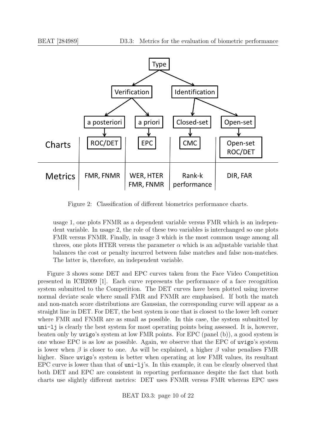

<span id="page-9-0"></span>Figure 2: Classification of different biometrics performance charts.

usage 1, one plots FNMR as a dependent variable versus FMR which is an independent variable. In usage 2, the role of these two variables is interchanged so one plots FMR versus FNMR. Finally, in usage 3 which is the most common usage among all threes, one plots HTER versus the parameter  $\alpha$  which is an adjustable variable that balances the cost or penalty incurred between false matches and false non-matches. The latter is, therefore, an independent variable.

Figure [3](#page-10-2) shows some DET and EPC curves taken from the Face Video Competition presented in ICB2009 [\[1\]](#page-21-1). Each curve represents the performance of a face recognition system submitted to the Competition. The DET curves have been plotted using inverse normal deviate scale where small FMR and FNMR are emphasised. If both the match and non-match score distributions are Gaussian, the corresponding curve will appear as a straight line in DET. For DET, the best system is one that is closest to the lower left corner where FMR and FNMR are as small as possible. In this case, the system submitted by uni-lj is clearly the best system for most operating points being assessed. It is, however, beaten only by uvigo's system at low FMR points. For EPC (panel (b)), a good system is one whose EPC is as low as possible. Again, we observe that the EPC of uvigo's system is lower when  $\beta$  is closer to one. As will be explained, a higher  $\beta$  value penalises FMR higher. Since uvigo's system is better when operating at low FMR values, its resultant EPC curve is lower than that of  $\text{uni}-\text{li}$ . In this example, it can be clearly observed that both DET and EPC are consistent in reporting performance despite the fact that both charts use slightly different metrics: DET uses FNMR versus FMR whereas EPC uses

BEAT D3.3: page 10 of [22](#page-21-0)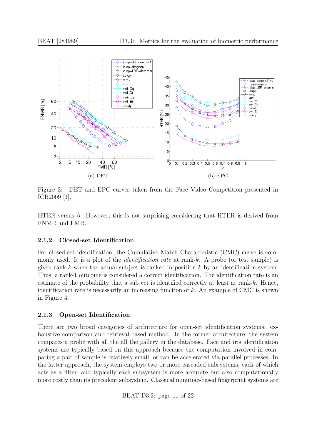

<span id="page-10-2"></span>Figure 3: DET and EPC curves taken from the Face Video Competition presented in ICB2009 [\[1\]](#page-21-1).

HTER versus  $\beta$ . However, this is not surprising considering that HTER is derived from FNMR and FMR.

#### <span id="page-10-0"></span>2.1.2 Closed-set Identification

For closed-set identification, the Cumulative Match Characteristic (CMC) curve is commonly used. It is a plot of the *identification rate* at rank-k. A probe (or test sample) is given rank-k when the actual subject is ranked in position  $k$  by an identification system. Thus, a rank-1 outcome is considered a correct identification. The identification rate is an estimate of the probability that a subject is identified correctly at least at rank-k. Hence, identification rate is necessarily an increasing function of  $k$ . An example of CMC is shown in Figure [4.](#page-11-0)

#### <span id="page-10-1"></span>2.1.3 Open-set Identification

There are two broad categories of architecture for open-set identification systems: exhaustive comparison and retrieval-based method. In the former architecture, the system compares a probe with all the all the gallery in the database. Face and iris identification systems are typically based on this approach because the computation involved in comparing a pair of sample is relatively small, or can be accelerated via parallel processes. In the latter approach, the system employs two or more cascaded subsystems, each of which acts as a filter, and typically each subsystem is more accurate but also computationally more costly than its precedent subsystem. Classical minutiae-based fingerprint systems are

BEAT D3.3: page 11 of [22](#page-21-0)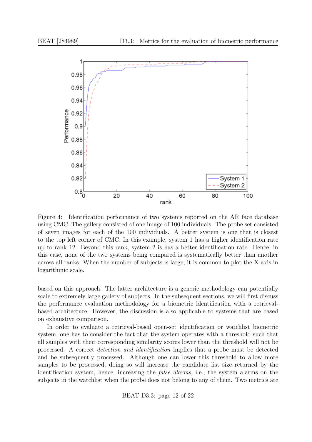

<span id="page-11-0"></span>Figure 4: Identification performance of two systems reported on the AR face database using CMC. The gallery consisted of one image of 100 individuals. The probe set consisted of seven images for each of the 100 individuals. A better system is one that is closest to the top left corner of CMC. In this example, system 1 has a higher identification rate up to rank 12. Beyond this rank, system 2 is has a better identification rate. Hence, in this case, none of the two systems being compared is systematically better than another across all ranks. When the number of subjects is large, it is common to plot the X-axis in logarithmic scale.

based on this approach. The latter architecture is a generic methodology can potentially scale to extremely large gallery of subjects. In the subsequent sections, we will first discuss the performance evaluation methodology for a biometric identification with a retrievalbased architecture. However, the discussion is also applicable to systems that are based on exhaustive comparison.

In order to evaluate a retrieval-based open-set identification or watchlist biometric system, one has to consider the fact that the system operates with a threshold such that all samples with their corresponding similarity scores lower than the threshold will not be processed. A correct detection and identification implies that a probe must be detected and be subsequently processed. Although one can lower this threshold to allow more samples to be processed, doing so will increase the candidate list size returned by the identification system, hence, increasing the false alarms, i.e., the system alarms on the subjects in the watchlist when the probe does not belong to any of them. Two metrics are

BEAT D3.3: page 12 of [22](#page-21-0)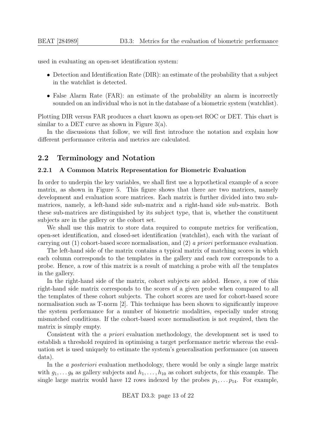used in evaluating an open-set identification system:

- Detection and Identification Rate (DIR): an estimate of the probability that a subject in the watchlist is detected.
- False Alarm Rate (FAR): an estimate of the probability an alarm is incorrectly sounded on an individual who is not in the database of a biometric system (watchlist).

Plotting DIR versus FAR produces a chart known as open-set ROC or DET. This chart is similar to a DET curve as shown in Figure [3\(](#page-10-2)a).

In the discussions that follow, we will first introduce the notation and explain how different performance criteria and metrics are calculated.

#### <span id="page-12-0"></span>2.2 Terminology and Notation

#### <span id="page-12-1"></span>2.2.1 A Common Matrix Representation for Biometric Evaluation

In order to underpin the key variables, we shall first use a hypothetical example of a score matrix, as shown in Figure [5.](#page-13-1) This figure shows that there are two matrices, namely development and evaluation score matrices. Each matrix is further divided into two submatrices, namely, a left-hand side sub-matrix and a right-hand side sub-matrix. Both these sub-matrices are distinguished by its subject type, that is, whether the constituent subjects are in the gallery or the cohort set.

We shall use this matrix to store data required to compute metrics for verification, open-set identification, and closed-set identification (watchlist), each with the variant of carrying out (1) cohort-based score normalisation, and (2) a priori performance evaluation.

The left-hand side of the matrix contains a typical matrix of matching scores in which each column corresponds to the templates in the gallery and each row corresponds to a probe. Hence, a row of this matrix is a result of matching a probe with all the templates in the gallery.

In the right-hand side of the matrix, cohort subjects are added. Hence, a row of this right-hand side matrix corresponds to the scores of a given probe when compared to all the templates of these cohort subjects. The cohort scores are used for cohort-based score normalisation such as T-norm [\[2\]](#page-21-2). This technique has been shown to significantly improve the system performance for a number of biometric modalities, especially under strong mismatched conditions. If the cohort-based score normalisation is not required, then the matrix is simply empty.

Consistent with the a priori evaluation methodology, the development set is used to establish a threshold required in optimising a target performance metric whereas the evaluation set is used uniquely to estimate the system's generalisation performance (on unseen data).

In the a posteriori evaluation methodology, there would be only a single large matrix with  $g_1, \ldots, g_8$  as gallery subjects and  $h_1, \ldots, h_{10}$  as cohort subjects, for this example. The single large matrix would have 12 rows indexed by the probes  $p_1, \ldots, p_{14}$ . For example,

BEAT D3.3: page 13 of [22](#page-21-0)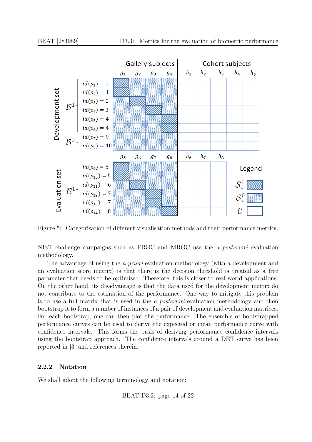

<span id="page-13-1"></span>Figure 5: Categorisation of different visualisation methods and their performance metrics.

NIST challenge campaigns such as FRGC and MRGC use the a posteriori evaluation methodology.

The advantage of using the a priori evaluation methodology (with a development and an evaluation score matrix) is that there is the decision threshold is treated as a free parameter that needs to be optimised. Therefore, this is closer to real world applications. On the other hand, its disadvantage is that the data used for the development matrix do not contribute to the estimation of the performance. One way to mitigate this problem is to use a full matrix that is used in the a posteriori evaluation methodology and then bootstrap it to form a number of instances of a pair of development and evaluation matrices. For each bootstrap, one can then plot the performance. The ensemble of bootstrapped performance curves can be used to derive the expected or mean performance curve with confidence intervals. This forms the basis of deriving performance confidence intervals using the bootstrap approach. The confidence intervals around a DET curve has been reported in [\[3\]](#page-21-3) and references therein.

#### <span id="page-13-0"></span>2.2.2 Notation

We shall adopt the following terminology and notation:

BEAT D3.3: page 14 of [22](#page-21-0)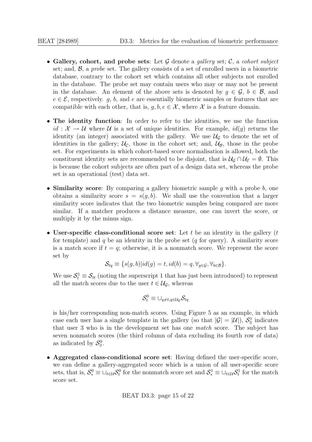- Gallery, cohort, and probe sets: Let  $G$  denote a gallery set;  $C$ , a cohort subject set; and,  $\beta$ , a probe set. The gallery consists of a set of enrolled users in a biometric database, contrary to the cohort set which contains all other subjects not enrolled in the database. The probe set may contain users who may or may not be present in the database. An element of the above sets is denoted by  $q \in \mathcal{G}, b \in \mathcal{B}$ , and  $e \in \mathcal{E}$ , respectively. g, b, and e are essentially biometric samples or features that are compatible with each other, that is,  $q, b, e \in \mathcal{X}$ , where  $\mathcal{X}$  is a feature domain.
- The identity function: In order to refer to the identities, we use the function  $id : \mathcal{X} \to \mathcal{U}$  where  $\mathcal{U}$  is a set of unique identities. For example,  $id(g)$  returns the identity (an integer) associated with the gallery. We use  $\mathcal{U}_G$  to denote the set of identities in the gallery;  $\mathcal{U}_{\mathcal{C}}$ , those in the cohort set; and,  $\mathcal{U}_{\mathcal{B}}$ , those in the probe set. For experiments in which cohort-based score normalisation is allowed, both the constituent identity sets are recommended to be disjoint, that is  $U_G \cap U_E = \emptyset$ . This is because the cohort subjects are often part of a design data set, whereas the probe set is an operational (test) data set.
- Similarity score: By comparing a gallery biometric sample  $g$  with a probe  $b$ , one obtains a similarity score  $s = s(q, b)$ . We shall use the convention that a larger similarity score indicates that the two biometric samples being compared are more similar. If a matcher produces a distance measure, one can invert the score, or multiply it by the minus sign.
- User-specific class-conditional score set: Let  $t$  be an identity in the gallery  $(t)$ for template) and q be an identity in the probe set  $(q$  for query). A similarity score is a match score if  $t = q$ ; otherwise, it is a nonmatch score. We represent the score set by

$$
\mathcal{S}_{tq} \equiv \{s(g,b)|id(g) = t, id(b) = q, \forall_{g \in \mathcal{G}}, \forall_{b \in \mathcal{B}}\}.
$$

We use  $S_t^1 \equiv S_{tt}$  (noting the superscript 1 that has just been introduced) to represent all the match scores due to the user  $t \in \mathcal{U}_{\mathcal{G}}$ , whereas

$$
\mathcal{S}_t^0 \equiv \cup_{q \neq t, q \in \mathcal{U}_\mathcal{G}} \mathcal{S}_{tq}
$$

is his/her corresponding non-match scores. Using Figure [5](#page-13-1) as an example, in which case each user has a single template in the gallery (so that  $|\mathcal{G}| = |\mathcal{U}|$ ),  $\mathcal{S}_3^1$  indicates that user 3 who is in the development set has one match score. The subject has seven nonmatch scores (the third column of data excluding its fourth row of data) as indicated by  $S_3^0$ .

• Aggregated class-conditional score set: Having defined the user-specific score, we can define a gallery-aggregated score which is a union of all user-specific score sets, that is,  $S_*^0 \equiv \cup_{t \in \mathcal{U}} S_t^0$  for the nonmatch score set and  $S_*^1 \equiv \cup_{t \in \mathcal{U}} S_t^1$  for the match score set.

BEAT D3.3: page 15 of [22](#page-21-0)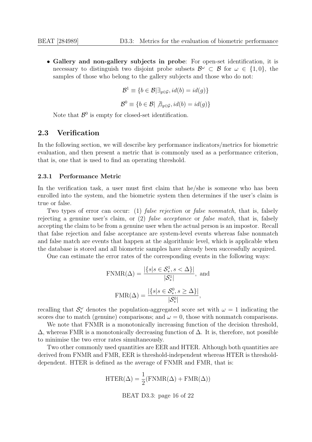$$
\mathcal{B}^1 \equiv \{b \in \mathcal{B} | \exists_{g \in \mathcal{G}}, id(b) = id(g)\}
$$

$$
\mathcal{B}^0 \equiv \{b \in \mathcal{B} | \ \nexists_{g \in \mathcal{G}}, id(b) = id(g)\}
$$

Note that  $\mathcal{B}^0$  is empty for closed-set identification.

#### <span id="page-15-0"></span>2.3 Verification

In the following section, we will describe key performance indicators/metrics for biometric evaluation, and then present a metric that is commonly used as a performance criterion, that is, one that is used to find an operating threshold.

#### <span id="page-15-1"></span>2.3.1 Performance Metric

In the verification task, a user must first claim that he/she is someone who has been enrolled into the system, and the biometric system then determines if the user's claim is true or false.

Two types of error can occur: (1) *false rejection* or *false nonmatch*, that is, falsely rejecting a genuine user's claim, or (2) false acceptance or false match, that is, falsely accepting the claim to be from a genuine user when the actual person is an impostor. Recall that false rejection and false acceptance are system-level events whereas false nonmatch and false match are events that happen at the algorithmic level, which is applicable when the database is stored and all biometric samples have already been successfully acquired.

One can estimate the error rates of the corresponding events in the following ways:

$$
\text{FNMR}(\Delta) = \frac{|\{s|s \in \mathcal{S}_*^1, s < \Delta\}|}{|\mathcal{S}_*^1|}, \text{ and}
$$
\n
$$
\text{FMR}(\Delta) = \frac{|\{s|s \in \mathcal{S}_*^0, s \ge \Delta\}|}{|\mathcal{S}_*^0|},
$$

recalling that  $\mathcal{S}_{*}^{\omega}$  denotes the population-aggregated score set with  $\omega = 1$  indicating the scores due to match (genuine) comparisons; and  $\omega = 0$ , those with nonmatch comparisons.

We note that FNMR is a monotonically increasing function of the decision threshold,  $\Delta$ , whereas FMR is a monotonically decreasing function of  $\Delta$ . It is, therefore, not possible to minimise the two error rates simultaneously.

Two other commonly used quantities are EER and HTER. Although both quantities are derived from FNMR and FMR, EER is threshold-independent whereas HTER is thresholddependent. HTER is defined as the average of FNMR and FMR, that is:

$$
HTER(\Delta) = \frac{1}{2}(FNMR(\Delta) + FMR(\Delta))
$$

BEAT D3.3: page 16 of [22](#page-21-0)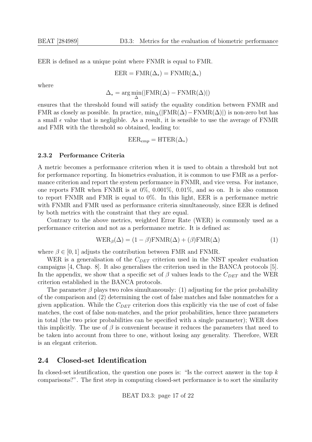EER is defined as a unique point where FNMR is equal to FMR.

$$
EER = FMR(\Delta_*) = FNMR(\Delta_*)
$$

where

$$
\Delta_* = \arg\min_{\Delta}(|\mathrm{FMR}(\Delta) - \mathrm{FNMR}(\Delta)|)
$$

ensures that the threshold found will satisfy the equality condition between FNMR and FMR as closely as possible. In practice,  $\min_{\Delta}(|FMR(\Delta)-FNMR(\Delta)|)$  is non-zero but has a small  $\epsilon$  value that is negligible. As a result, it is sensible to use the average of FNMR and FMR with the threshold so obtained, leading to:

$$
EER_{emp} = HTER(\Delta_*)
$$

#### <span id="page-16-0"></span>2.3.2 Performance Criteria

A metric becomes a performance criterion when it is used to obtain a threshold but not for performance reporting. In biometrics evaluation, it is common to use FMR as a performance criterion and report the system performance in FNMR, and vice versa. For instance, one reports FMR when FNMR is at 0%, 0.001%, 0.01%, and so on. It is also common to report FNMR and FMR is equal to 0%. In this light, EER is a performance metric with FNMR and FMR used as performance criteria simultaneously, since EER is defined by both metrics with the constraint that they are equal.

Contrary to the above metrics, weighted Error Rate (WER) is commonly used as a performance criterion and not as a performance metric. It is defined as:

<span id="page-16-2"></span>
$$
WER_{\beta}(\Delta) = (1 - \beta)FNMR(\Delta) + (\beta)FMR(\Delta)
$$
\n(1)

where  $\beta \in [0, 1]$  adjusts the contribution between FMR and FNMR.

WER is a generalisation of the  $C_{DET}$  criterion used in the NIST speaker evaluation campaigns [\[4,](#page-21-4) Chap. 8]. It also generalises the criterion used in the BANCA protocols [\[5\]](#page-21-5). In the appendix, we show that a specific set of  $\beta$  values leads to the  $C_{DET}$  and the WER criterion established in the BANCA protocols.

The parameter  $\beta$  plays two roles simultaneously: (1) adjusting for the prior probability of the comparison and (2) determining the cost of false matches and false nonmatches for a given application. While the  $C_{DET}$  criterion does this explicitly via the use of cost of false matches, the cost of false non-matches, and the prior probabilities, hence three parameters in total (the two prior probabilities can be specified with a single parameter); WER does this implicitly. The use of  $\beta$  is convenient because it reduces the parameters that need to be taken into account from three to one, without losing any generality. Therefore, WER is an elegant criterion.

#### <span id="page-16-1"></span>2.4 Closed-set Identification

In closed-set identification, the question one poses is: "Is the correct answer in the top  $k$ comparisons?". The first step in computing closed-set performance is to sort the similarity

BEAT D3.3: page 17 of [22](#page-21-0)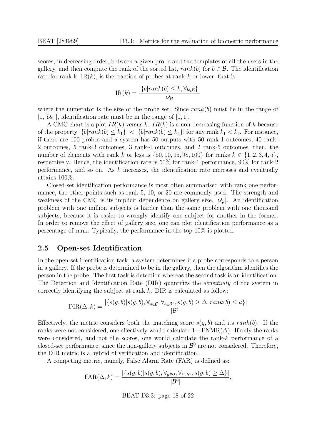scores, in decreasing order, between a given probe and the templates of all the users in the gallery, and then compute the rank of the sorted list,  $rank(b)$  for  $b \in \mathcal{B}$ . The identification rate for rank k,  $\text{IR}(k)$ , is the fraction of probes at rank k or lower, that is:

$$
IR(k) = \frac{|\{b|rank(b) \le k, \forall_{b \in \mathcal{B}}\}|}{|\mathcal{U}_{\mathcal{B}}|}
$$

where the numerator is the size of the probe set. Since  $rank(b)$  must lie in the range of  $[1, |\mathcal{U}_G|]$ , identification rate must be in the range of  $[0, 1]$ .

A CMC chart is a plot  $IR(k)$  versus k.  $IR(k)$  is a non-decreasing function of k because of the property  $|\{b|rank(b) \leq k_1\}| < |\{b|rank(b) \leq k_2\}|$  for any rank  $k_1 < k_2$ . For instance, if there are 100 probes and a system has 50 outputs with 50 rank-1 outcomes, 40 rank-2 outcomes, 5 rank-3 outcomes, 3 rank-4 outcomes, and 2 rank-5 outcomes, then, the number of elements with rank k or less is  $\{50, 90, 95, 98, 100\}$  for ranks  $k \in \{1, 2, 3, 4, 5\}$ , respectively. Hence, the identification rate is 50% for rank-1 performance, 90% for rank-2 performance, and so on. As  $k$  increases, the identification rate increases and eventually attains 100%.

Closed-set identification performance is most often summarised with rank one performance, the other points such as rank 5, 10, or 20 are commonly used. The strength and weakness of the CMC is its implicit dependence on gallery size,  $|\mathcal{U}_G|$ . An identification problem with one million subjects is harder than the same problem with one thousand subjects, because it is easier to wrongly identify one subject for another in the former. In order to remove the effect of gallery size, one can plot identification performance as a percentage of rank. Typically, the performance in the top 10% is plotted.

#### <span id="page-17-0"></span>2.5 Open-set Identification

In the open-set identification task, a system determines if a probe corresponds to a person in a gallery. If the probe is determined to be in the gallery, then the algorithm identifies the person in the probe. The first task is detection whereas the second task is an identification. The Detection and Identification Rate (DIR) quantifies the sensitivity of the system in correctly identifying the subject at rank k. DIR is calculated as follow:

$$
\text{DIR}(\Delta, k) = \frac{|\{s(g, b) | s(g, b), \forall_{g \in \mathcal{G}}, \forall_{b \in \mathcal{B}^1}, s(g, b) \ge \Delta, rank(b) \le k\}|}{|\mathcal{B}^1|}
$$

Effectively, the metric considers both the matching score  $s(q, b)$  and its rank(b). If the ranks were not considered, one effectively would calculate  $1-FNMR(\Delta)$ . If only the ranks were considered, and not the scores, one would calculate the rank-k performance of a closed-set performance, since the non-gallery subjects in  $\mathcal{B}^0$  are not considered. Therefore, the DIR metric is a hybrid of verification and identification.

A competing metric, namely, False Alarm Rate (FAR) is defined as:

$$
FAR(\Delta, k) = \frac{|\{s(g, b)|s(g, b), \forall_{g \in \mathcal{G}}, \forall_{b \in \mathcal{B}^0}, s(g, b) \ge \Delta\}|}{|\mathcal{B}^0|},
$$

BEAT D3.3: page 18 of [22](#page-21-0)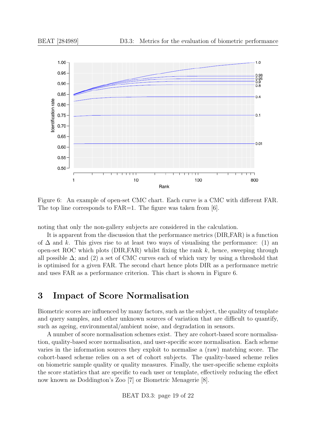

<span id="page-18-1"></span>Figure 6: An example of open-set CMC chart. Each curve is a CMC with different FAR. The top line corresponds to FAR=1. The figure was taken from [\[6\]](#page-21-6).

noting that only the non-gallery subjects are considered in the calculation.

It is apparent from the discussion that the performance metrics (DIR,FAR) is a function of  $\Delta$  and k. This gives rise to at least two ways of visualising the performance: (1) an open-set ROC which plots (DIR, FAR) whilst fixing the rank  $k$ , hence, sweeping through all possible  $\Delta$ ; and (2) a set of CMC curves each of which vary by using a threshold that is optimised for a given FAR. The second chart hence plots DIR as a performance metric and uses FAR as a performance criterion. This chart is shown in Figure [6.](#page-18-1)

### <span id="page-18-0"></span>3 Impact of Score Normalisation

Biometric scores are influenced by many factors, such as the subject, the quality of template and query samples, and other unknown sources of variation that are difficult to quantify, such as ageing, environmental/ambient noise, and degradation in sensors.

A number of score normalisation schemes exist. They are cohort-based score normalisation, quality-based score normalisation, and user-specific score normalisation. Each scheme varies in the information sources they exploit to normalise a (raw) matching score. The cohort-based scheme relies on a set of cohort subjects. The quality-based scheme relies on biometric sample quality or quality measures. Finally, the user-specific scheme exploits the score statistics that are specific to each user or template, effectively reducing the effect now known as Doddington's Zoo [\[7\]](#page-21-7) or Biometric Menagerie [\[8\]](#page-21-8).

BEAT D3.3: page 19 of [22](#page-21-0)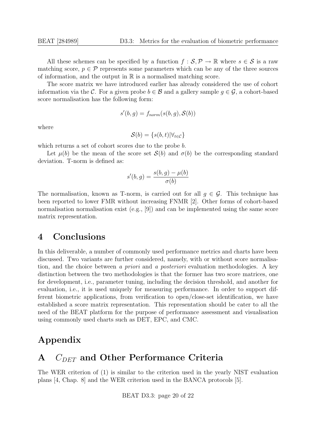All these schemes can be specified by a function  $f : \mathcal{S}, \mathcal{P} \to \mathbb{R}$  where  $s \in \mathcal{S}$  is a raw matching score,  $p \in \mathcal{P}$  represents some parameters which can be any of the three sources of information, and the output in  $\mathbb R$  is a normalised matching score.

The score matrix we have introduced earlier has already considered the use of cohort information via the C. For a given probe  $b \in \mathcal{B}$  and a gallery sample  $g \in \mathcal{G}$ , a cohort-based score normalisation has the following form:

$$
s'(b,g) = f_{norm}(s(b,g), \mathcal{S}(b))
$$

where

$$
\mathcal{S}(b) = \{s(b, t)|\forall_{t \in \mathcal{C}}\}
$$

which returns a set of cohort scores due to the probe b.

Let  $\mu(b)$  be the mean of the score set  $\mathcal{S}(b)$  and  $\sigma(b)$  be the corresponding standard deviation. T-norm is defined as:

$$
s'(b,g) = \frac{s(b,g) - \mu(b)}{\sigma(b)}
$$

The normalisation, known as T-norm, is carried out for all  $g \in \mathcal{G}$ . This technique has been reported to lower FMR without increasing FNMR [\[2\]](#page-21-2). Other forms of cohort-based normalisation normalisation exist (e.g., [\[9\]](#page-21-9)) and can be implemented using the same score matrix representation.

## <span id="page-19-0"></span>4 Conclusions

In this deliverable, a number of commonly used performance metrics and charts have been discussed. Two variants are further considered, namely, with or without score normalisation, and the choice between a priori and a posteriori evaluation methodologies. A key distinction between the two methodologies is that the former has two score matrices, one for development, i.e., parameter tuning, including the decision threshold, and another for evaluation, i.e., it is used uniquely for measuring performance. In order to support different biometric applications, from verification to open/close-set identification, we have established a score matrix representation. This representation should be cater to all the need of the BEAT platform for the purpose of performance assessment and visualisation using commonly used charts such as DET, EPC, and CMC.

## Appendix

## <span id="page-19-1"></span>A  $C_{DET}$  and Other Performance Criteria

The WER criterion of [\(1\)](#page-16-2) is similar to the criterion used in the yearly NIST evaluation plans [\[4,](#page-21-4) Chap. 8] and the WER criterion used in the BANCA protocols [\[5\]](#page-21-5).

BEAT D3.3: page 20 of [22](#page-21-0)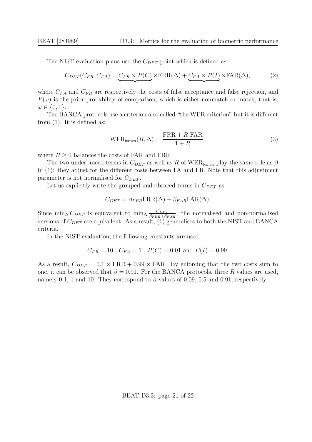The NIST evaluation plans use the  $C_{DET}$  point which is defined as:

$$
C_{DET}(C_{FR}, C_{FA}) = \underbrace{C_{FR} \times P(C)}_{\text{FRA}} \times \text{FRR}(\Delta) + \underbrace{C_{FA} \times P(I)}_{\text{FAR}} \times \text{FAR}(\Delta),
$$
 (2)

where  $C_{FA}$  and  $C_{FR}$  are respectively the costs of false acceptance and false rejection, and  $P(\omega)$  is the prior probability of comparison, which is either nonmatch or match, that is,  $\omega \in \{0,1\}.$ 

The BANCA protocols use a criterion also called "the WER criterion" but it is different from [\(1\)](#page-16-2). It is defined as:

$$
WER_{banca}(R,\Delta) = \frac{FRR + R\text{ FAR}}{1 + R},\tag{3}
$$

where  $R \geq 0$  balances the costs of FAR and FRR.

The two underbraced terms in  $C_{DET}$  as well as R of WER<sub>banca</sub> play the same role as  $\beta$ in [\(1\)](#page-16-2): they adjust for the different costs between FA and FR. Note that this adjustment parameter is not normalised for  $C_{DET}$ .

Let us explicitly write the grouped underbraced terms in  $C_{DET}$  as

$$
C_{DET} = \beta_{FRR} \text{FRR}(\Delta) + \beta_{FAR} \text{FAR}(\Delta).
$$

Since  $\min_{\Delta} C_{DET}$  is equivalent to  $\min_{\Delta} \frac{C_{DET}}{B_{EDR}+\beta}$  $\frac{C_{DET}}{\beta_{FRR}+\beta_{FAR}}$ , the normalised and non-normalised versions of  $C_{DET}$  are equivalent. As a result, [\(1\)](#page-16-2) generalises to both the NIST and BANCA criteria.

In the NIST evaluation, the following constants are used:

$$
C_{FR} = 10
$$
,  $C_{FA} = 1$ ,  $P(C) = 0.01$  and  $P(I) = 0.99$ .

As a result,  $C_{DET} = 0.1 \times \text{FRR} + 0.99 \times \text{FAR}$ . By enforcing that the two costs sum to one, it can be observed that  $\beta = 0.91$ . For the BANCA protocols, three R values are used, namely 0.1, 1 and 10. They correspond to  $\beta$  values of 0.09, 0.5 and 0.91, respectively.